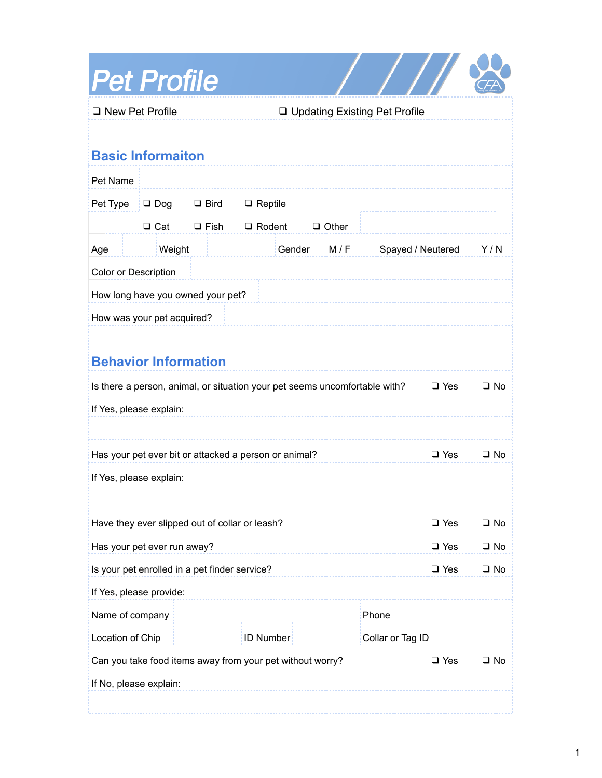| <b>Pet Profile</b>                                                         |                  |             |                |        |              |                                 |              |              |  |  |
|----------------------------------------------------------------------------|------------------|-------------|----------------|--------|--------------|---------------------------------|--------------|--------------|--|--|
| □ New Pet Profile                                                          |                  |             |                |        |              | □ Updating Existing Pet Profile |              |              |  |  |
|                                                                            |                  |             |                |        |              |                                 |              |              |  |  |
| <b>Basic Informaiton</b>                                                   |                  |             |                |        |              |                                 |              |              |  |  |
| Pet Name                                                                   |                  |             |                |        |              |                                 |              |              |  |  |
| Pet Type                                                                   | $\Box$ Dog       | $\Box$ Bird | $\Box$ Reptile |        |              |                                 |              |              |  |  |
|                                                                            | $\Box$ Cat       | $\Box$ Fish | $\Box$ Rodent  |        | $\Box$ Other |                                 |              |              |  |  |
| Age                                                                        | Weight           |             |                | Gender | M/F          | Spayed / Neutered               |              | Y/N          |  |  |
| Color or Description                                                       |                  |             |                |        |              |                                 |              |              |  |  |
| How long have you owned your pet?                                          |                  |             |                |        |              |                                 |              |              |  |  |
| How was your pet acquired?                                                 |                  |             |                |        |              |                                 |              |              |  |  |
| <b>Behavior Information</b>                                                |                  |             |                |        |              |                                 |              |              |  |  |
| Is there a person, animal, or situation your pet seems uncomfortable with? |                  |             |                |        |              | $\Box$ Yes                      | $\Box$ No    |              |  |  |
| If Yes, please explain:                                                    |                  |             |                |        |              |                                 |              |              |  |  |
|                                                                            |                  |             |                |        |              |                                 |              |              |  |  |
| Has your pet ever bit or attacked a person or animal?                      |                  |             |                |        |              |                                 | $\Box$ Yes   | $\square$ No |  |  |
| If Yes, please explain:                                                    |                  |             |                |        |              |                                 |              |              |  |  |
|                                                                            |                  |             |                |        |              |                                 |              |              |  |  |
| Have they ever slipped out of collar or leash?                             |                  |             |                |        |              | $\Box$ Yes                      | $\square$ No |              |  |  |
| Has your pet ever run away?                                                |                  |             |                |        |              | $\Box$ Yes                      | $\square$ No |              |  |  |
| Is your pet enrolled in a pet finder service?                              |                  |             |                |        | $\Box$ Yes   | $\square$ No                    |              |              |  |  |
| If Yes, please provide:                                                    |                  |             |                |        |              |                                 |              |              |  |  |
| Name of company<br>Phone                                                   |                  |             |                |        |              |                                 |              |              |  |  |
| Location of Chip                                                           | <b>ID Number</b> |             |                |        |              | Collar or Tag ID                |              |              |  |  |
| Can you take food items away from your pet without worry?                  |                  |             |                |        |              | $\Box$ Yes                      | $\square$ No |              |  |  |
| If No, please explain:                                                     |                  |             |                |        |              |                                 |              |              |  |  |
|                                                                            |                  |             |                |        |              |                                 |              |              |  |  |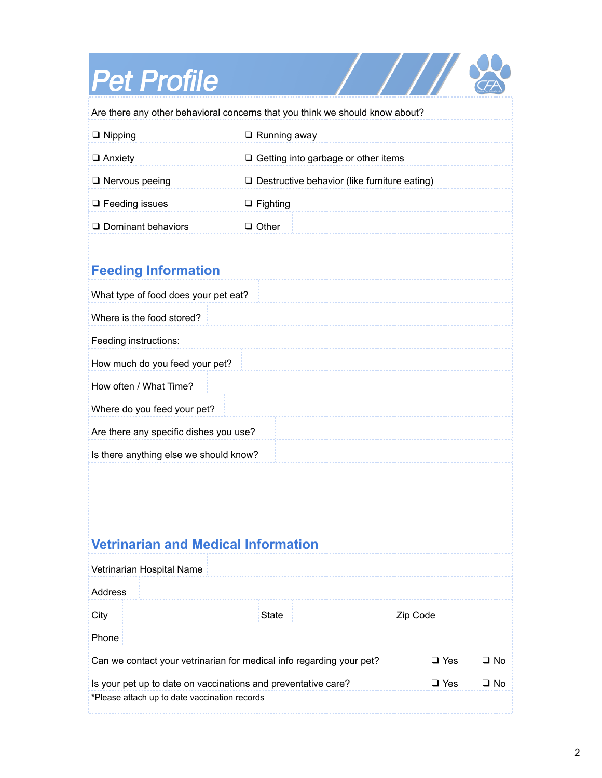## **Pet Profile**

\*Please attach up to date vaccination records

| <b>Pet Profile</b>                                                           |                                                     |            |              |  |  |  |  |  |  |  |
|------------------------------------------------------------------------------|-----------------------------------------------------|------------|--------------|--|--|--|--|--|--|--|
| Are there any other behavioral concerns that you think we should know about? |                                                     |            |              |  |  |  |  |  |  |  |
| $\Box$ Nipping                                                               | $\Box$ Running away                                 |            |              |  |  |  |  |  |  |  |
| $\Box$ Anxiety                                                               | $\Box$ Getting into garbage or other items          |            |              |  |  |  |  |  |  |  |
| $\Box$ Nervous peeing                                                        | $\Box$ Destructive behavior (like furniture eating) |            |              |  |  |  |  |  |  |  |
| $\Box$ Feeding issues                                                        | $\Box$ Fighting                                     |            |              |  |  |  |  |  |  |  |
| $\Box$ Dominant behaviors                                                    | $\Box$ Other                                        |            |              |  |  |  |  |  |  |  |
| <b>Feeding Information</b>                                                   |                                                     |            |              |  |  |  |  |  |  |  |
| What type of food does your pet eat?                                         |                                                     |            |              |  |  |  |  |  |  |  |
| Where is the food stored?                                                    |                                                     |            |              |  |  |  |  |  |  |  |
| Feeding instructions:                                                        |                                                     |            |              |  |  |  |  |  |  |  |
| How much do you feed your pet?                                               |                                                     |            |              |  |  |  |  |  |  |  |
| How often / What Time?                                                       |                                                     |            |              |  |  |  |  |  |  |  |
| Where do you feed your pet?                                                  |                                                     |            |              |  |  |  |  |  |  |  |
| Are there any specific dishes you use?                                       |                                                     |            |              |  |  |  |  |  |  |  |
| Is there anything else we should know?                                       |                                                     |            |              |  |  |  |  |  |  |  |
|                                                                              |                                                     |            |              |  |  |  |  |  |  |  |
|                                                                              |                                                     |            |              |  |  |  |  |  |  |  |
| <b>Vetrinarian and Medical Information</b>                                   |                                                     |            |              |  |  |  |  |  |  |  |
| Vetrinarian Hospital Name                                                    |                                                     |            |              |  |  |  |  |  |  |  |
| Address                                                                      |                                                     |            |              |  |  |  |  |  |  |  |
| City                                                                         | <b>State</b>                                        | Zip Code   |              |  |  |  |  |  |  |  |
| Phone                                                                        |                                                     |            |              |  |  |  |  |  |  |  |
| Can we contact your vetrinarian for medical info regarding your pet?         |                                                     | $\Box$ Yes | $\Box$ No    |  |  |  |  |  |  |  |
| Is your pet up to date on vaccinations and preventative care?                |                                                     | $\Box$ Yes | $\square$ No |  |  |  |  |  |  |  |